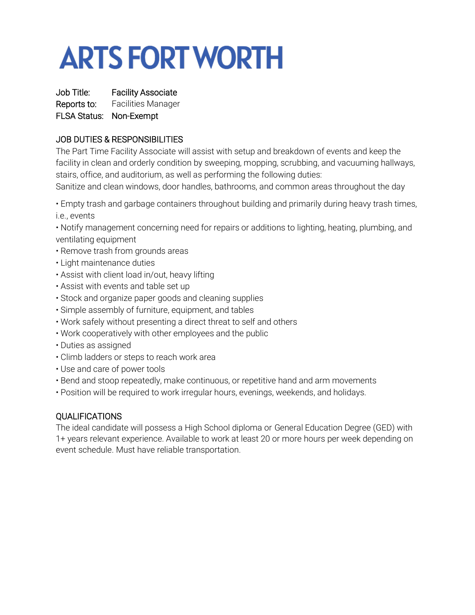## **ARTS FORT WORTH**

Job Title: Facility Associate Reports to: Facilities Manager FLSA Status: Non-Exempt

## JOB DUTIES & RESPONSIBILITIES

The Part Time Facility Associate will assist with setup and breakdown of events and keep the facility in clean and orderly condition by sweeping, mopping, scrubbing, and vacuuming hallways, stairs, office, and auditorium, as well as performing the following duties:

Sanitize and clean windows, door handles, bathrooms, and common areas throughout the day

• Empty trash and garbage containers throughout building and primarily during heavy trash times, i.e., events

• Notify management concerning need for repairs or additions to lighting, heating, plumbing, and ventilating equipment

- Remove trash from grounds areas
- Light maintenance duties
- Assist with client load in/out, heavy lifting
- Assist with events and table set up
- Stock and organize paper goods and cleaning supplies
- Simple assembly of furniture, equipment, and tables
- Work safely without presenting a direct threat to self and others
- Work cooperatively with other employees and the public
- Duties as assigned
- Climb ladders or steps to reach work area
- Use and care of power tools
- Bend and stoop repeatedly, make continuous, or repetitive hand and arm movements
- Position will be required to work irregular hours, evenings, weekends, and holidays.

## QUALIFICATIONS

The ideal candidate will possess a High School diploma or General Education Degree (GED) with 1+ years relevant experience. Available to work at least 20 or more hours per week depending on event schedule. Must have reliable transportation.